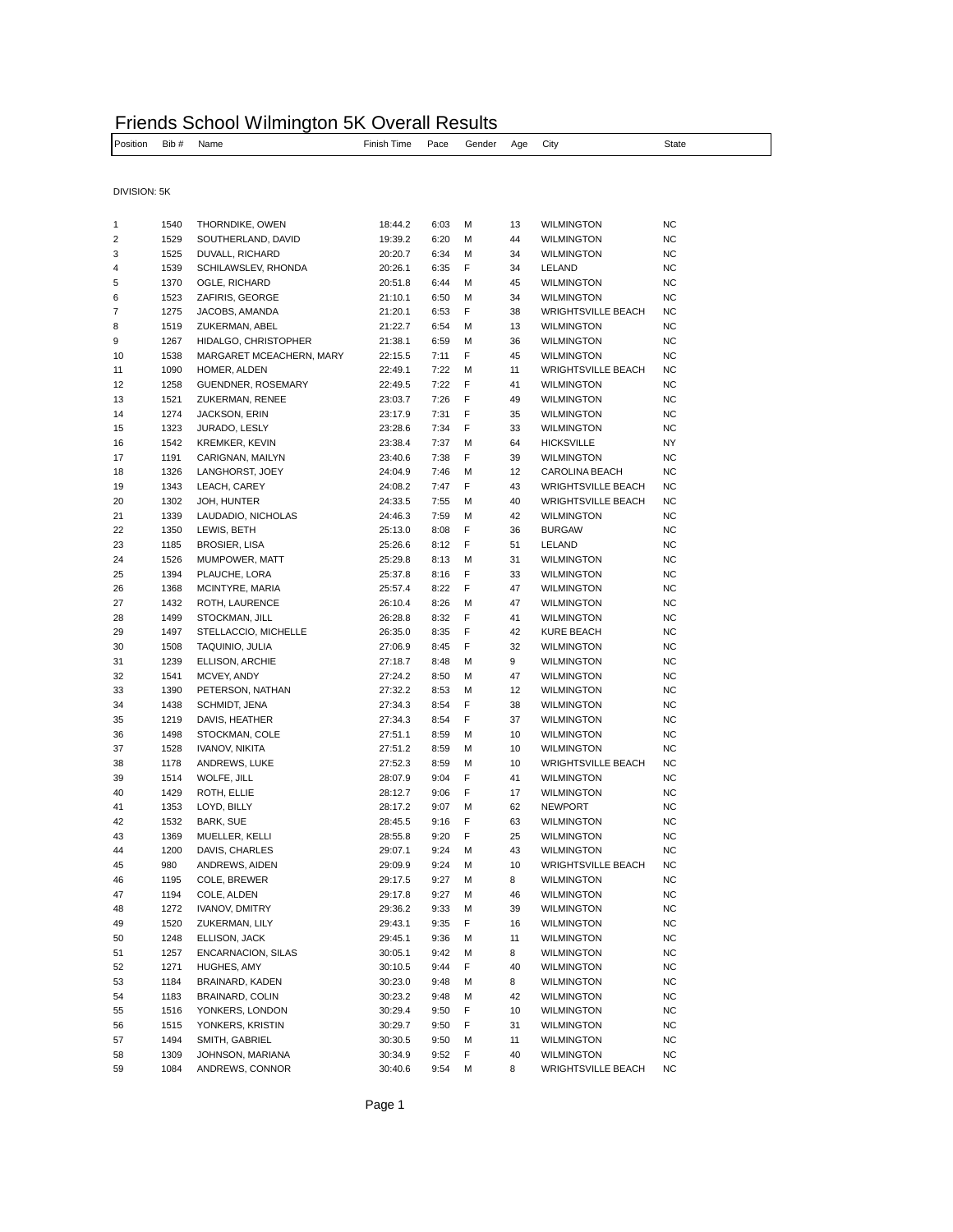|                   |            | Friends School Wilmington 5K Overall Results |                                  |  |  |       |
|-------------------|------------|----------------------------------------------|----------------------------------|--|--|-------|
| <b>I</b> Position | Bib # Name |                                              | Finish Time Pace Gender Age City |  |  | State |
|                   |            |                                              |                                  |  |  |       |

DIVISION: 5K

| 1  | 1540 | THORNDIKE, OWEN           | 18:44.2            | 6:03 | М | 13 | <b>WILMINGTON</b>         | <b>NC</b> |
|----|------|---------------------------|--------------------|------|---|----|---------------------------|-----------|
| 2  | 1529 | SOUTHERLAND, DAVID        | 19:39.2            | 6:20 | М | 44 | <b>WILMINGTON</b>         | <b>NC</b> |
| 3  | 1525 | DUVALL, RICHARD           | 20:20.7            | 6:34 | М | 34 | <b>WILMINGTON</b>         | <b>NC</b> |
| 4  | 1539 | SCHILAWSLEV, RHONDA       | 20:26.1            | 6:35 | F | 34 | LELAND                    | NC        |
| 5  | 1370 | OGLE, RICHARD             | 20:51.8            | 6:44 | М | 45 | <b>WILMINGTON</b>         | NC        |
| 6  | 1523 | ZAFIRIS, GEORGE           | 21:10.1            | 6:50 | М | 34 | <b>WILMINGTON</b>         | <b>NC</b> |
| 7  | 1275 | JACOBS, AMANDA            | 21:20.1            | 6:53 | F | 38 | <b>WRIGHTSVILLE BEACH</b> | <b>NC</b> |
| 8  | 1519 | ZUKERMAN, ABEL            | 21:22.7            | 6:54 | М | 13 | <b>WILMINGTON</b>         | <b>NC</b> |
| 9  | 1267 | HIDALGO, CHRISTOPHER      | 21:38.1            | 6:59 | М | 36 | WILMINGTON                | NC        |
| 10 | 1538 | MARGARET MCEACHERN, MARY  | 22:15.5            | 7:11 | F | 45 | <b>WILMINGTON</b>         | <b>NC</b> |
| 11 | 1090 | HOMER, ALDEN              | 22:49.1            | 7:22 | М | 11 | <b>WRIGHTSVILLE BEACH</b> | NC        |
| 12 | 1258 | GUENDNER, ROSEMARY        | 22:49.5            | 7:22 | F | 41 | WILMINGTON                | <b>NC</b> |
| 13 | 1521 | ZUKERMAN, RENEE           | 23:03.7            | 7:26 | F | 49 | <b>WILMINGTON</b>         | NC        |
| 14 | 1274 | JACKSON, ERIN             | 23:17.9            | 7:31 | F | 35 | <b>WILMINGTON</b>         | NC        |
| 15 | 1323 | JURADO, LESLY             | 23:28.6            | 7:34 | F | 33 | <b>WILMINGTON</b>         | <b>NC</b> |
| 16 | 1542 | <b>KREMKER, KEVIN</b>     | 23:38.4            | 7:37 | М | 64 | <b>HICKSVILLE</b>         | NY        |
| 17 | 1191 | CARIGNAN, MAILYN          | 23:40.6            | 7:38 | F | 39 | <b>WILMINGTON</b>         | NC        |
| 18 | 1326 | LANGHORST, JOEY           | 24:04.9            | 7:46 | М | 12 | CAROLINA BEACH            | NC        |
| 19 | 1343 | LEACH, CAREY              | 24:08.2            | 7:47 | F | 43 | <b>WRIGHTSVILLE BEACH</b> | <b>NC</b> |
| 20 | 1302 | JOH, HUNTER               | 24:33.5            | 7:55 | М | 40 | <b>WRIGHTSVILLE BEACH</b> | ΝC        |
| 21 | 1339 | LAUDADIO, NICHOLAS        | 24:46.3            | 7:59 | М | 42 | <b>WILMINGTON</b>         | NC        |
| 22 | 1350 | LEWIS, BETH               | 25:13.0            | 8:08 | F | 36 | <b>BURGAW</b>             | NC        |
| 23 | 1185 | <b>BROSIER, LISA</b>      | 25:26.6            | 8:12 | F | 51 | LELAND                    | <b>NC</b> |
| 24 | 1526 | MUMPOWER, MATT            | 25:29.8            | 8:13 | М | 31 | <b>WILMINGTON</b>         | <b>NC</b> |
| 25 | 1394 | PLAUCHE, LORA             | 25:37.8            | 8:16 | F | 33 | <b>WILMINGTON</b>         | NC        |
| 26 | 1368 | MCINTYRE, MARIA           | 25:57.4            | 8:22 | F | 47 | <b>WILMINGTON</b>         | <b>NC</b> |
| 27 | 1432 | ROTH, LAURENCE            | 26:10.4            | 8:26 | М | 47 | <b>WILMINGTON</b>         | <b>NC</b> |
| 28 | 1499 | STOCKMAN, JILL            | 26:28.8            | 8:32 | F | 41 | <b>WILMINGTON</b>         | <b>NC</b> |
| 29 | 1497 | STELLACCIO, MICHELLE      |                    | 8:35 | F | 42 | KURE BEACH                | NC        |
| 30 |      |                           | 26:35.0<br>27:06.9 |      | F | 32 | <b>WILMINGTON</b>         |           |
|    | 1508 | TAQUINIO, JULIA           | 27:18.7            | 8:45 |   | 9  |                           | NC        |
| 31 | 1239 | ELLISON, ARCHIE           |                    | 8:48 | М |    | <b>WILMINGTON</b>         | <b>NC</b> |
| 32 | 1541 | MCVEY, ANDY               | 27:24.2            | 8:50 | М | 47 | <b>WILMINGTON</b>         | <b>NC</b> |
| 33 | 1390 | PETERSON, NATHAN          | 27:32.2            | 8:53 | М | 12 | <b>WILMINGTON</b>         | <b>NC</b> |
| 34 | 1438 | SCHMIDT, JENA             | 27:34.3            | 8:54 | F | 38 | <b>WILMINGTON</b>         | NC        |
| 35 | 1219 | DAVIS, HEATHER            | 27:34.3            | 8:54 | F | 37 | <b>WILMINGTON</b>         | <b>NC</b> |
| 36 | 1498 | STOCKMAN, COLE            | 27:51.1            | 8:59 | М | 10 | <b>WILMINGTON</b>         | <b>NC</b> |
| 37 | 1528 | IVANOV, NIKITA            | 27:51.2            | 8:59 | М | 10 | <b>WILMINGTON</b>         | <b>NC</b> |
| 38 | 1178 | ANDREWS, LUKE             | 27:52.3            | 8:59 | М | 10 | <b>WRIGHTSVILLE BEACH</b> | NC        |
| 39 | 1514 | WOLFE, JILL               | 28:07.9            | 9:04 | F | 41 | <b>WILMINGTON</b>         | NC        |
| 40 | 1429 | ROTH, ELLIE               | 28:12.7            | 9:06 | F | 17 | <b>WILMINGTON</b>         | <b>NC</b> |
| 41 | 1353 | LOYD, BILLY               | 28:17.2            | 9:07 | М | 62 | <b>NEWPORT</b>            | <b>NC</b> |
| 42 | 1532 | BARK, SUE                 | 28:45.5            | 9:16 | F | 63 | <b>WILMINGTON</b>         | <b>NC</b> |
| 43 | 1369 | MUELLER, KELLI            | 28:55.8            | 9:20 | F | 25 | <b>WILMINGTON</b>         | NC        |
| 44 | 1200 | DAVIS, CHARLES            | 29:07.1            | 9:24 | М | 43 | <b>WILMINGTON</b>         | <b>NC</b> |
| 45 | 980  | ANDREWS, AIDEN            | 29:09.9            | 9:24 | М | 10 | <b>WRIGHTSVILLE BEACH</b> | ΝC        |
| 46 | 1195 | COLE, BREWER              | 29:17.5            | 9:27 | М | 8  | <b>WILMINGTON</b>         | NC        |
| 47 | 1194 | COLE, ALDEN               | 29:17.8            | 9:27 | М | 46 | <b>WILMINGTON</b>         | <b>NC</b> |
| 48 | 1272 | IVANOV, DMITRY            | 29:36.2            | 9:33 | М | 39 | WILMINGTON                | ΝC        |
| 49 | 1520 | ZUKERMAN, LILY            | 29:43.1            | 9:35 | F | 16 | <b>WILMINGTON</b>         | <b>NC</b> |
| 50 | 1248 | ELLISON, JACK             | 29:45.1            | 9:36 | м | 11 | <b>WILMINGTON</b>         | NC        |
| 51 | 1257 | <b>ENCARNACION, SILAS</b> | 30:05.1            | 9:42 | м | 8  | <b>WILMINGTON</b>         | <b>NC</b> |
| 52 | 1271 | HUGHES, AMY               | 30:10.5            | 9:44 | F | 40 | <b>WILMINGTON</b>         | <b>NC</b> |
| 53 | 1184 | BRAINARD, KADEN           | 30:23.0            | 9:48 | М | 8  | <b>WILMINGTON</b>         | <b>NC</b> |
| 54 | 1183 | BRAINARD, COLIN           | 30:23.2            | 9:48 | М | 42 | <b>WILMINGTON</b>         | <b>NC</b> |
| 55 | 1516 | YONKERS, LONDON           | 30:29.4            | 9:50 | F | 10 | <b>WILMINGTON</b>         | <b>NC</b> |
| 56 | 1515 | YONKERS, KRISTIN          | 30:29.7            | 9:50 | F | 31 | <b>WILMINGTON</b>         | <b>NC</b> |
| 57 | 1494 | SMITH, GABRIEL            | 30:30.5            | 9:50 | м | 11 | <b>WILMINGTON</b>         | <b>NC</b> |
| 58 | 1309 | JOHNSON, MARIANA          | 30:34.9            | 9:52 | F | 40 | <b>WILMINGTON</b>         | <b>NC</b> |
| 59 | 1084 | ANDREWS, CONNOR           | 30:40.6            | 9:54 | М | 8  | <b>WRIGHTSVILLE BEACH</b> | <b>NC</b> |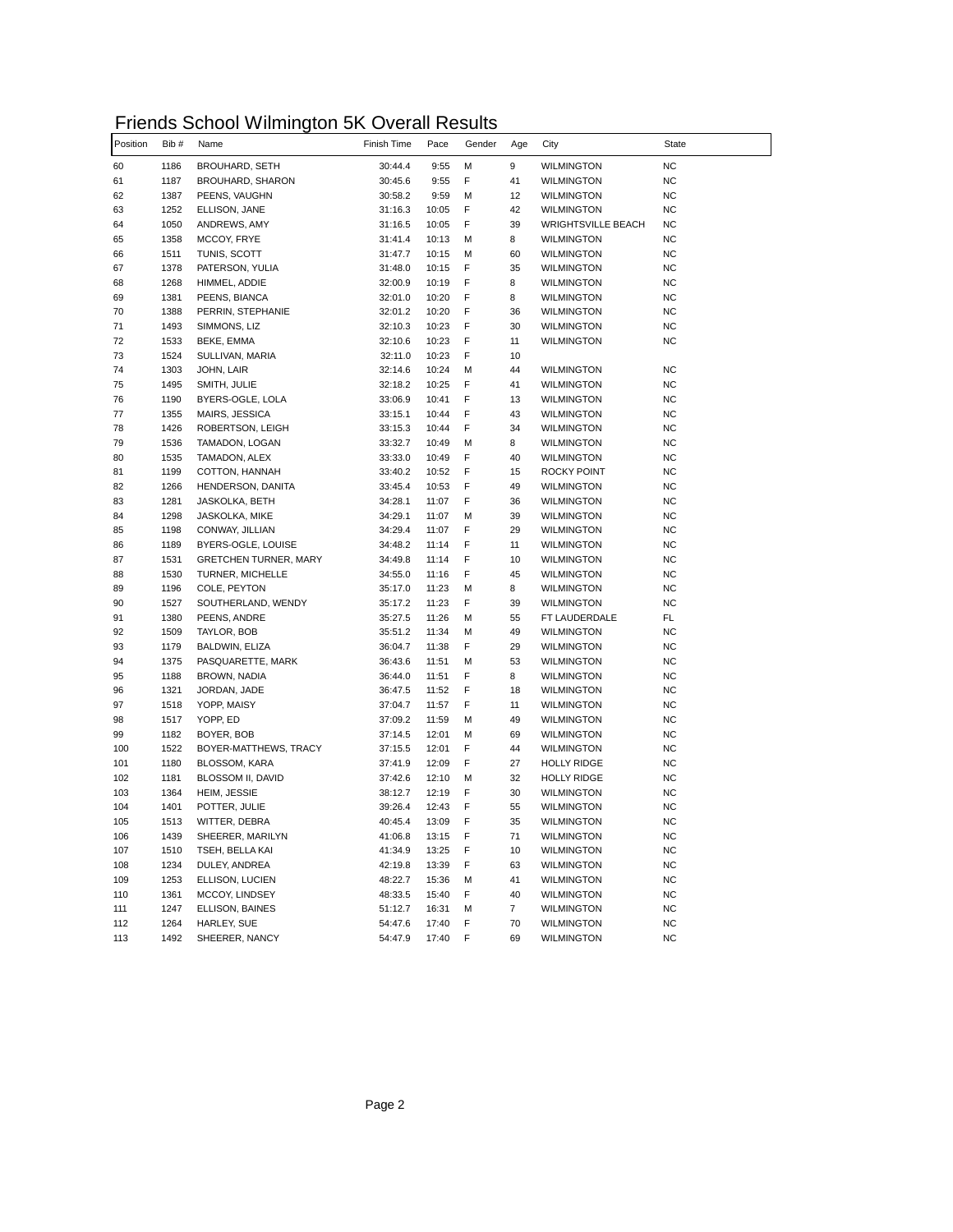| Friends School Wilmington 5K Overall Results |  |
|----------------------------------------------|--|
|----------------------------------------------|--|

| Position | Bib# | Name                         | Finish Time | Pace  | Gender | Age            | City                      | <b>State</b> |
|----------|------|------------------------------|-------------|-------|--------|----------------|---------------------------|--------------|
| 60       | 1186 | <b>BROUHARD, SETH</b>        | 30:44.4     | 9:55  | М      | 9              | <b>WILMINGTON</b>         | <b>NC</b>    |
| 61       | 1187 | BROUHARD, SHARON             | 30:45.6     | 9:55  | F      | 41             | <b>WILMINGTON</b>         | <b>NC</b>    |
| 62       | 1387 | PEENS, VAUGHN                | 30:58.2     | 9:59  | м      | 12             | WILMINGTON                | <b>NC</b>    |
| 63       | 1252 | ELLISON, JANE                | 31:16.3     | 10:05 | F      | 42             | WILMINGTON                | <b>NC</b>    |
| 64       | 1050 | ANDREWS, AMY                 | 31:16.5     | 10:05 | F      | 39             | <b>WRIGHTSVILLE BEACH</b> | <b>NC</b>    |
| 65       | 1358 | MCCOY, FRYE                  | 31:41.4     | 10:13 | М      | 8              | <b>WILMINGTON</b>         | <b>NC</b>    |
| 66       | 1511 | TUNIS, SCOTT                 | 31:47.7     | 10:15 | м      | 60             | WILMINGTON                | <b>NC</b>    |
| 67       | 1378 | PATERSON, YULIA              | 31:48.0     | 10:15 | F      | 35             | <b>WILMINGTON</b>         | <b>NC</b>    |
| 68       | 1268 | HIMMEL, ADDIE                | 32:00.9     | 10:19 | F      | 8              | <b>WILMINGTON</b>         | <b>NC</b>    |
| 69       | 1381 | PEENS, BIANCA                | 32:01.0     | 10:20 | F      | 8              | <b>WILMINGTON</b>         | <b>NC</b>    |
| 70       | 1388 | PERRIN, STEPHANIE            | 32:01.2     | 10:20 | F      | 36             | WILMINGTON                | <b>NC</b>    |
| 71       | 1493 | SIMMONS, LIZ                 | 32:10.3     | 10:23 | F      | 30             | <b>WILMINGTON</b>         | <b>NC</b>    |
| 72       | 1533 | BEKE, EMMA                   | 32:10.6     | 10:23 | F      | 11             | WILMINGTON                | <b>NC</b>    |
| 73       | 1524 | SULLIVAN, MARIA              | 32:11.0     | 10:23 | F      | 10             |                           |              |
| 74       | 1303 | JOHN, LAIR                   | 32:14.6     | 10:24 | М      | 44             | <b>WILMINGTON</b>         | <b>NC</b>    |
| 75       | 1495 | SMITH, JULIE                 | 32:18.2     | 10:25 | F      | 41             | <b>WILMINGTON</b>         | NC           |
| 76       | 1190 | BYERS-OGLE, LOLA             | 33:06.9     | 10:41 | F      | 13             | <b>WILMINGTON</b>         | <b>NC</b>    |
| 77       | 1355 | MAIRS, JESSICA               | 33:15.1     | 10:44 | F      | 43             | WILMINGTON                | <b>NC</b>    |
| 78       | 1426 | ROBERTSON, LEIGH             | 33:15.3     | 10:44 | F      | 34             | <b>WILMINGTON</b>         | <b>NC</b>    |
| 79       | 1536 | TAMADON, LOGAN               | 33:32.7     | 10:49 | м      | 8              | <b>WILMINGTON</b>         | <b>NC</b>    |
| 80       | 1535 | TAMADON, ALEX                | 33:33.0     | 10:49 | F      | 40             | <b>WILMINGTON</b>         | <b>NC</b>    |
| 81       | 1199 | COTTON, HANNAH               | 33:40.2     | 10:52 | F      | 15             | <b>ROCKY POINT</b>        | <b>NC</b>    |
| 82       | 1266 | HENDERSON, DANITA            | 33:45.4     | 10:53 | F      | 49             | <b>WILMINGTON</b>         | <b>NC</b>    |
| 83       | 1281 | JASKOLKA, BETH               | 34:28.1     | 11:07 | F      | 36             | WILMINGTON                | <b>NC</b>    |
| 84       | 1298 | JASKOLKA, MIKE               | 34:29.1     | 11:07 | М      | 39             | <b>WILMINGTON</b>         | <b>NC</b>    |
| 85       | 1198 | CONWAY, JILLIAN              | 34:29.4     | 11:07 | F      | 29             | <b>WILMINGTON</b>         | <b>NC</b>    |
| 86       | 1189 | BYERS-OGLE, LOUISE           | 34:48.2     | 11:14 | F      | 11             | WILMINGTON                | <b>NC</b>    |
| 87       | 1531 | <b>GRETCHEN TURNER, MARY</b> | 34:49.8     | 11:14 | F      | 10             | WILMINGTON                | <b>NC</b>    |
| 88       | 1530 | TURNER, MICHELLE             | 34:55.0     | 11:16 | F      | 45             | <b>WILMINGTON</b>         | <b>NC</b>    |
| 89       | 1196 | COLE, PEYTON                 | 35:17.0     | 11:23 | М      | 8              | <b>WILMINGTON</b>         | <b>NC</b>    |
| 90       | 1527 | SOUTHERLAND, WENDY           | 35:17.2     | 11:23 | F      | 39             | <b>WILMINGTON</b>         | <b>NC</b>    |
| 91       | 1380 | PEENS, ANDRE                 | 35:27.5     | 11:26 | м      | 55             | FT LAUDERDALE             | FL           |
| 92       | 1509 | TAYLOR, BOB                  | 35:51.2     | 11:34 | М      | 49             | <b>WILMINGTON</b>         | <b>NC</b>    |
| 93       | 1179 | BALDWIN, ELIZA               | 36:04.7     | 11:38 | F      | 29             | <b>WILMINGTON</b>         | <b>NC</b>    |
| 94       | 1375 | PASQUARETTE, MARK            | 36:43.6     | 11:51 | М      | 53             | <b>WILMINGTON</b>         | <b>NC</b>    |
| 95       | 1188 | BROWN, NADIA                 | 36:44.0     | 11:51 | F      | 8              | WILMINGTON                | <b>NC</b>    |
| 96       | 1321 | JORDAN, JADE                 | 36:47.5     | 11:52 | F      | 18             | WILMINGTON                | <b>NC</b>    |
| 97       | 1518 | YOPP, MAISY                  | 37:04.7     | 11:57 | F      | 11             | <b>WILMINGTON</b>         | <b>NC</b>    |
| 98       | 1517 | YOPP, ED                     | 37:09.2     | 11:59 | м      | 49             | <b>WILMINGTON</b>         | <b>NC</b>    |
| 99       | 1182 | BOYER, BOB                   | 37:14.5     | 12:01 | М      | 69             | <b>WILMINGTON</b>         | <b>NC</b>    |
| 100      | 1522 | BOYER-MATTHEWS, TRACY        | 37:15.5     | 12:01 | F      | 44             | WILMINGTON                | <b>NC</b>    |
| 101      | 1180 | BLOSSOM, KARA                | 37:41.9     | 12:09 | F      | 27             | <b>HOLLY RIDGE</b>        | <b>NC</b>    |
| 102      | 1181 | BLOSSOM II, DAVID            | 37:42.6     | 12:10 | М      | 32             | <b>HOLLY RIDGE</b>        | <b>NC</b>    |
| 103      | 1364 | HEIM, JESSIE                 | 38:12.7     | 12:19 | F      | 30             | <b>WILMINGTON</b>         | <b>NC</b>    |
| 104      | 1401 | POTTER, JULIE                | 39:26.4     | 12:43 | F      | 55             | WILMINGTON                | <b>NC</b>    |
| 105      | 1513 | WITTER, DEBRA                | 40:45.4     | 13:09 | F      | 35             | <b>WILMINGTON</b>         | <b>NC</b>    |
| 106      | 1439 | SHEERER, MARILYN             | 41:06.8     | 13:15 | F      | 71             | <b>WILMINGTON</b>         | <b>NC</b>    |
| 107      | 1510 | TSEH, BELLA KAI              | 41:34.9     | 13:25 | F      | 10             | <b>WILMINGTON</b>         | <b>NC</b>    |
| 108      | 1234 | DULEY, ANDREA                | 42:19.8     | 13:39 | F      | 63             | <b>WILMINGTON</b>         | <b>NC</b>    |
| 109      | 1253 | ELLISON, LUCIEN              | 48:22.7     | 15:36 | М      | 41             | WILMINGTON                | <b>NC</b>    |
| 110      | 1361 | MCCOY, LINDSEY               | 48:33.5     | 15:40 | F      | 40             | WILMINGTON                | NC.          |
| 111      | 1247 | ELLISON, BAINES              | 51:12.7     | 16:31 | М      | $\overline{7}$ | <b>WILMINGTON</b>         | <b>NC</b>    |
| 112      | 1264 | HARLEY, SUE                  | 54:47.6     | 17:40 | F      | 70             | <b>WILMINGTON</b>         | NC.          |
| 113      | 1492 | SHEERER, NANCY               | 54:47.9     | 17:40 | F      | 69             | <b>WILMINGTON</b>         | NC.          |
|          |      |                              |             |       |        |                |                           |              |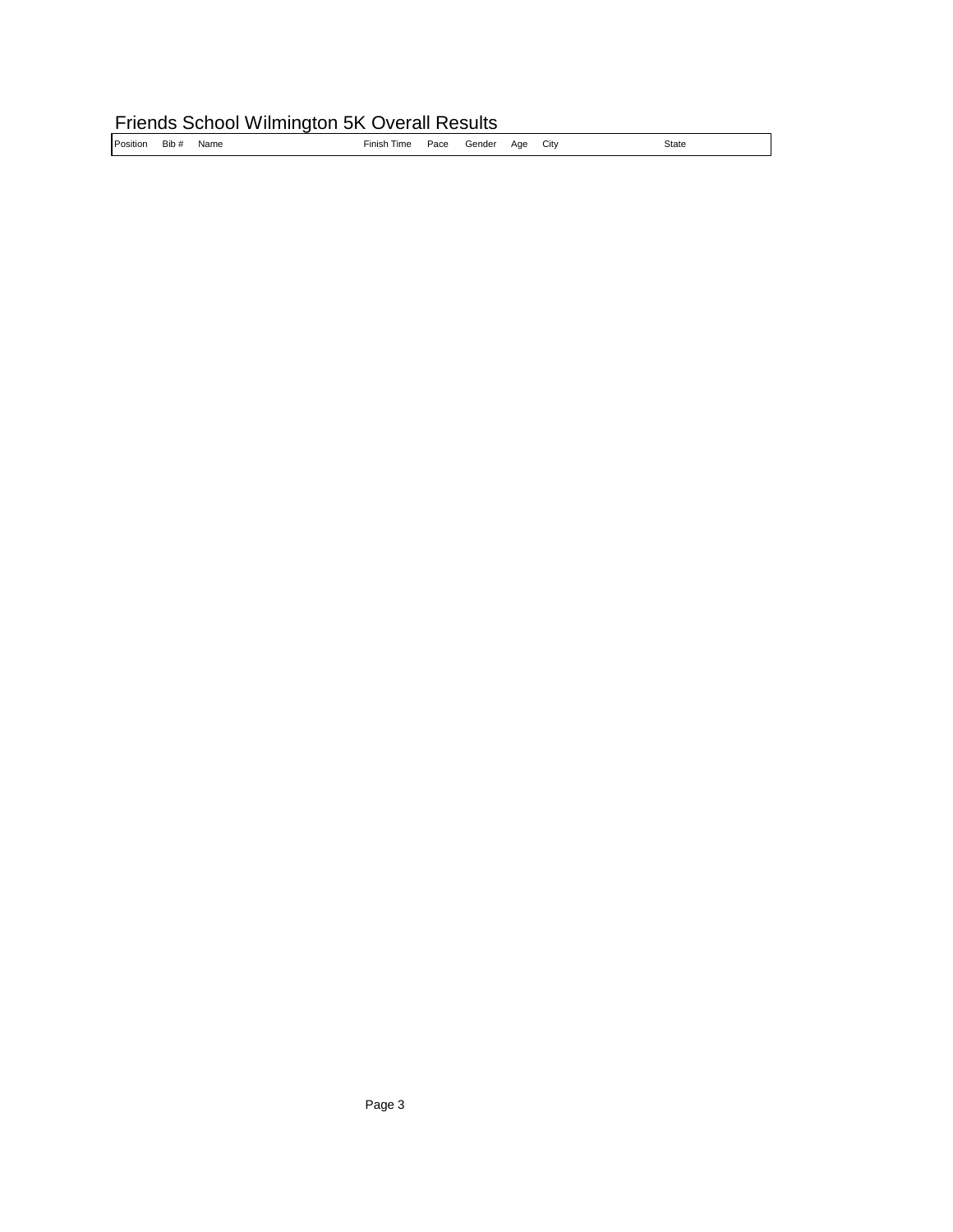## Friends School Wilmington 5K Overall Results

|--|